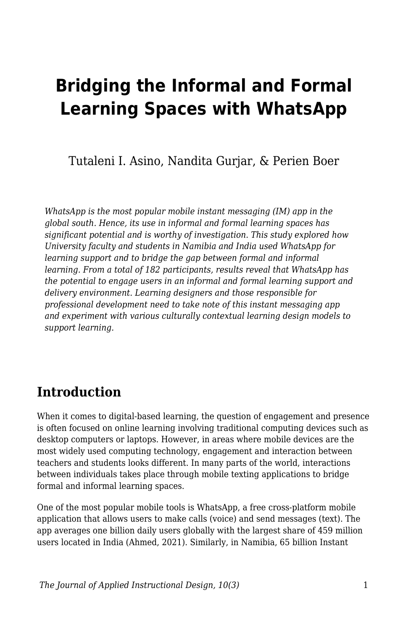# **Bridging the Informal and Formal Learning Spaces with WhatsApp**

Tutaleni I. Asino, Nandita Gurjar, & Perien Boer

*WhatsApp is the most popular mobile instant messaging (IM) app in the global south. Hence, its use in informal and formal learning spaces has significant potential and is worthy of investigation. This study explored how University faculty and students in Namibia and India used WhatsApp for learning support and to bridge the gap between formal and informal learning. From a total of 182 participants, results reveal that WhatsApp has the potential to engage users in an informal and formal learning support and delivery environment. Learning designers and those responsible for professional development need to take note of this instant messaging app and experiment with various culturally contextual learning design models to support learning.*

## **Introduction**

When it comes to digital-based learning, the question of engagement and presence is often focused on online learning involving traditional computing devices such as desktop computers or laptops. However, in areas where mobile devices are the most widely used computing technology, engagement and interaction between teachers and students looks different. In many parts of the world, interactions between individuals takes place through mobile texting applications to bridge formal and informal learning spaces.

One of the most popular mobile tools is WhatsApp, a free cross-platform mobile application that allows users to make calls (voice) and send messages (text). The app averages one billion daily users globally with the largest share of 459 million users located in India (Ahmed, 2021). Similarly, in Namibia, 65 billion Instant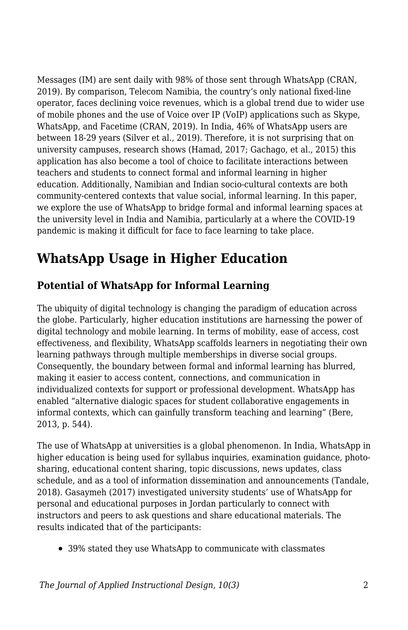Messages (IM) are sent daily with 98% of those sent through WhatsApp (CRAN, 2019). By comparison, Telecom Namibia, the country's only national fixed-line operator, faces declining voice revenues, which is a global trend due to wider use of mobile phones and the use of Voice over IP (VoIP) applications such as Skype, WhatsApp, and Facetime (CRAN, 2019). In India, 46% of WhatsApp users are between 18-29 years (Silver et al., 2019). Therefore, it is not surprising that on university campuses, research shows (Hamad, 2017; Gachago, et al., 2015) this application has also become a tool of choice to facilitate interactions between teachers and students to connect formal and informal learning in higher education. Additionally, Namibian and Indian socio-cultural contexts are both community-centered contexts that value social, informal learning. In this paper, we explore the use of WhatsApp to bridge formal and informal learning spaces at the university level in India and Namibia, particularly at a where the COVID-19 pandemic is making it difficult for face to face learning to take place.

## **WhatsApp Usage in Higher Education**

## **Potential of WhatsApp for Informal Learning**

The ubiquity of digital technology is changing the paradigm of education across the globe. Particularly, higher education institutions are harnessing the power of digital technology and mobile learning. In terms of mobility, ease of access, cost effectiveness, and flexibility, WhatsApp scaffolds learners in negotiating their own learning pathways through multiple memberships in diverse social groups. Consequently, the boundary between formal and informal learning has blurred, making it easier to access content, connections, and communication in individualized contexts for support or professional development. WhatsApp has enabled "alternative dialogic spaces for student collaborative engagements in informal contexts, which can gainfully transform teaching and learning" (Bere, 2013, p. 544).

The use of WhatsApp at universities is a global phenomenon. In India, WhatsApp in higher education is being used for syllabus inquiries, examination guidance, photosharing, educational content sharing, topic discussions, news updates, class schedule, and as a tool of information dissemination and announcements (Tandale, 2018). Gasaymeh (2017) investigated university students' use of WhatsApp for personal and educational purposes in Jordan particularly to connect with instructors and peers to ask questions and share educational materials. The results indicated that of the participants:

39% stated they use WhatsApp to communicate with classmates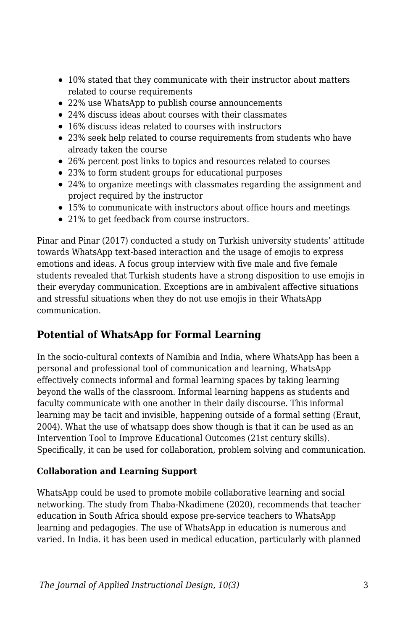- 10% stated that they communicate with their instructor about matters related to course requirements
- 22% use WhatsApp to publish course announcements
- 24% discuss ideas about courses with their classmates
- 16% discuss ideas related to courses with instructors
- 23% seek help related to course requirements from students who have already taken the course
- 26% percent post links to topics and resources related to courses
- 23% to form student groups for educational purposes
- 24% to organize meetings with classmates regarding the assignment and project required by the instructor
- 15% to communicate with instructors about office hours and meetings
- 21% to get feedback from course instructors.

Pinar and Pinar (2017) conducted a study on Turkish university students' attitude towards WhatsApp text-based interaction and the usage of emojis to express emotions and ideas. A focus group interview with five male and five female students revealed that Turkish students have a strong disposition to use emojis in their everyday communication. Exceptions are in ambivalent affective situations and stressful situations when they do not use emojis in their WhatsApp communication.

## **Potential of WhatsApp for Formal Learning**

In the socio-cultural contexts of Namibia and India, where WhatsApp has been a personal and professional tool of communication and learning, WhatsApp effectively connects informal and formal learning spaces by taking learning beyond the walls of the classroom. Informal learning happens as students and faculty communicate with one another in their daily discourse. This informal learning may be tacit and invisible, happening outside of a formal setting (Eraut, 2004). What the use of whatsapp does show though is that it can be used as an Intervention Tool to Improve Educational Outcomes (21st century skills). Specifically, it can be used for collaboration, problem solving and communication.

#### **Collaboration and Learning Support**

WhatsApp could be used to promote mobile collaborative learning and social networking. The study from Thaba-Nkadimene (2020), recommends that teacher education in South Africa should expose pre-service teachers to WhatsApp learning and pedagogies. The use of WhatsApp in education is numerous and varied. In India. it has been used in medical education, particularly with planned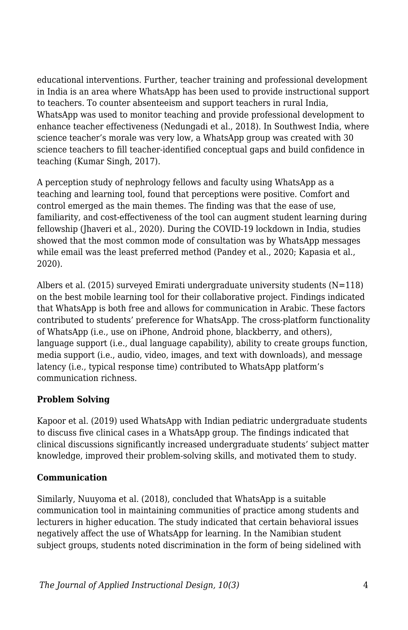educational interventions. Further, teacher training and professional development in India is an area where WhatsApp has been used to provide instructional support to teachers. To counter absenteeism and support teachers in rural India, WhatsApp was used to monitor teaching and provide professional development to enhance teacher effectiveness (Nedungadi et al., 2018). In Southwest India, where science teacher's morale was very low, a WhatsApp group was created with 30 science teachers to fill teacher-identified conceptual gaps and build confidence in teaching (Kumar Singh, 2017).

A perception study of nephrology fellows and faculty using WhatsApp as a teaching and learning tool, found that perceptions were positive. Comfort and control emerged as the main themes. The finding was that the ease of use, familiarity, and cost-effectiveness of the tool can augment student learning during fellowship (Jhaveri et al., 2020). During the COVID-19 lockdown in India, studies showed that the most common mode of consultation was by WhatsApp messages while email was the least preferred method (Pandey et al., 2020; Kapasia et al., 2020).

Albers et al. (2015) surveyed Emirati undergraduate university students  $(N=118)$ on the best mobile learning tool for their collaborative project. Findings indicated that WhatsApp is both free and allows for communication in Arabic. These factors contributed to students' preference for WhatsApp. The cross-platform functionality of WhatsApp (i.e., use on iPhone, Android phone, blackberry, and others), language support (i.e., dual language capability), ability to create groups function, media support (i.e., audio, video, images, and text with downloads), and message latency (i.e., typical response time) contributed to WhatsApp platform's communication richness.

#### **Problem Solving**

Kapoor et al. (2019) used WhatsApp with Indian pediatric undergraduate students to discuss five clinical cases in a WhatsApp group. The findings indicated that clinical discussions significantly increased undergraduate students' subject matter knowledge, improved their problem-solving skills, and motivated them to study.

#### **Communication**

Similarly, Nuuyoma et al. (2018), concluded that WhatsApp is a suitable communication tool in maintaining communities of practice among students and lecturers in higher education. The study indicated that certain behavioral issues negatively affect the use of WhatsApp for learning. In the Namibian student subject groups, students noted discrimination in the form of being sidelined with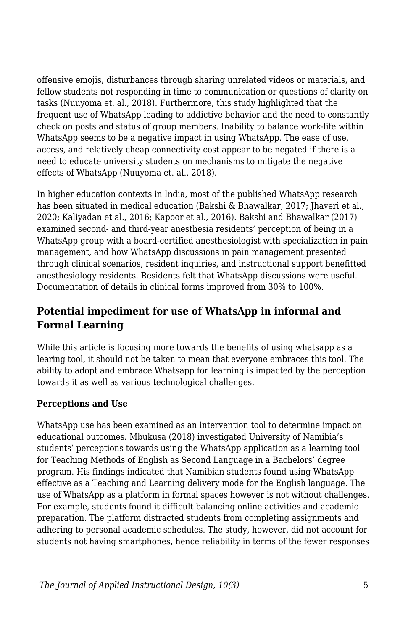offensive emojis, disturbances through sharing unrelated videos or materials, and fellow students not responding in time to communication or questions of clarity on tasks (Nuuyoma et. al., 2018). Furthermore, this study highlighted that the frequent use of WhatsApp leading to addictive behavior and the need to constantly check on posts and status of group members. Inability to balance work-life within WhatsApp seems to be a negative impact in using WhatsApp. The ease of use, access, and relatively cheap connectivity cost appear to be negated if there is a need to educate university students on mechanisms to mitigate the negative effects of WhatsApp (Nuuyoma et. al., 2018).

In higher education contexts in India, most of the published WhatsApp research has been situated in medical education (Bakshi & Bhawalkar, 2017; Jhaveri et al., 2020; Kaliyadan et al., 2016; Kapoor et al., 2016). Bakshi and Bhawalkar (2017) examined second- and third-year anesthesia residents' perception of being in a WhatsApp group with a board-certified anesthesiologist with specialization in pain management, and how WhatsApp discussions in pain management presented through clinical scenarios, resident inquiries, and instructional support benefitted anesthesiology residents. Residents felt that WhatsApp discussions were useful. Documentation of details in clinical forms improved from 30% to 100%.

### **Potential impediment for use of WhatsApp in informal and Formal Learning**

While this article is focusing more towards the benefits of using whatsapp as a learing tool, it should not be taken to mean that everyone embraces this tool. The ability to adopt and embrace Whatsapp for learning is impacted by the perception towards it as well as various technological challenges.

#### **Perceptions and Use**

WhatsApp use has been examined as an intervention tool to determine impact on educational outcomes. Mbukusa (2018) investigated University of Namibia's students' perceptions towards using the WhatsApp application as a learning tool for Teaching Methods of English as Second Language in a Bachelors' degree program. His findings indicated that Namibian students found using WhatsApp effective as a Teaching and Learning delivery mode for the English language. The use of WhatsApp as a platform in formal spaces however is not without challenges. For example, students found it difficult balancing online activities and academic preparation. The platform distracted students from completing assignments and adhering to personal academic schedules. The study, however, did not account for students not having smartphones, hence reliability in terms of the fewer responses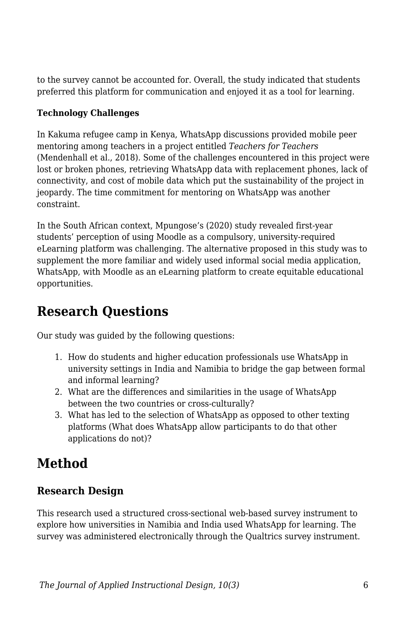to the survey cannot be accounted for. Overall, the study indicated that students preferred this platform for communication and enjoyed it as a tool for learning.

#### **Technology Challenges**

In Kakuma refugee camp in Kenya, WhatsApp discussions provided mobile peer mentoring among teachers in a project entitled *Teachers for Teachers* (Mendenhall et al., 2018). Some of the challenges encountered in this project were lost or broken phones, retrieving WhatsApp data with replacement phones, lack of connectivity, and cost of mobile data which put the sustainability of the project in jeopardy. The time commitment for mentoring on WhatsApp was another constraint.

In the South African context, Mpungose's (2020) study revealed first-year students' perception of using Moodle as a compulsory, university-required eLearning platform was challenging. The alternative proposed in this study was to supplement the more familiar and widely used informal social media application, WhatsApp, with Moodle as an eLearning platform to create equitable educational opportunities.

## **Research Questions**

Our study was guided by the following questions:

- 1. How do students and higher education professionals use WhatsApp in university settings in India and Namibia to bridge the gap between formal and informal learning?
- 2. What are the differences and similarities in the usage of WhatsApp between the two countries or cross-culturally?
- 3. What has led to the selection of WhatsApp as opposed to other texting platforms (What does WhatsApp allow participants to do that other applications do not)?

## **Method**

## **Research Design**

This research used a structured cross-sectional web-based survey instrument to explore how universities in Namibia and India used WhatsApp for learning. The survey was administered electronically through the Qualtrics survey instrument.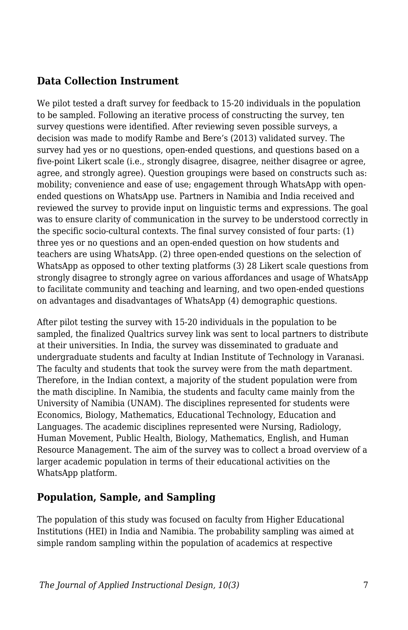#### **Data Collection Instrument**

We pilot tested a draft survey for feedback to 15-20 individuals in the population to be sampled. Following an iterative process of constructing the survey, ten survey questions were identified. After reviewing seven possible surveys, a decision was made to modify Rambe and Bere's (2013) validated survey. The survey had yes or no questions, open-ended questions, and questions based on a five-point Likert scale (i.e., strongly disagree, disagree, neither disagree or agree, agree, and strongly agree). Question groupings were based on constructs such as: mobility; convenience and ease of use; engagement through WhatsApp with openended questions on WhatsApp use. Partners in Namibia and India received and reviewed the survey to provide input on linguistic terms and expressions. The goal was to ensure clarity of communication in the survey to be understood correctly in the specific socio-cultural contexts. The final survey consisted of four parts: (1) three yes or no questions and an open-ended question on how students and teachers are using WhatsApp. (2) three open-ended questions on the selection of WhatsApp as opposed to other texting platforms (3) 28 Likert scale questions from strongly disagree to strongly agree on various affordances and usage of WhatsApp to facilitate community and teaching and learning, and two open-ended questions on advantages and disadvantages of WhatsApp (4) demographic questions.

After pilot testing the survey with 15-20 individuals in the population to be sampled, the finalized Qualtrics survey link was sent to local partners to distribute at their universities. In India, the survey was disseminated to graduate and undergraduate students and faculty at Indian Institute of Technology in Varanasi. The faculty and students that took the survey were from the math department. Therefore, in the Indian context, a majority of the student population were from the math discipline. In Namibia, the students and faculty came mainly from the University of Namibia (UNAM). The disciplines represented for students were Economics, Biology, Mathematics, Educational Technology, Education and Languages. The academic disciplines represented were Nursing, Radiology, Human Movement, Public Health, Biology, Mathematics, English, and Human Resource Management. The aim of the survey was to collect a broad overview of a larger academic population in terms of their educational activities on the WhatsApp platform.

### **Population, Sample, and Sampling**

The population of this study was focused on faculty from Higher Educational Institutions (HEI) in India and Namibia. The probability sampling was aimed at simple random sampling within the population of academics at respective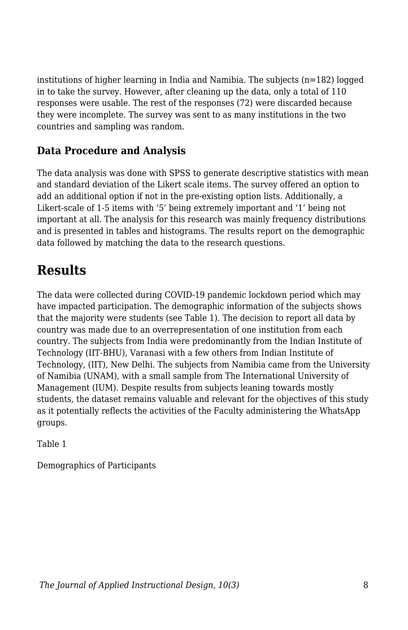institutions of higher learning in India and Namibia. The subjects (n=182) logged in to take the survey. However, after cleaning up the data, only a total of 110 responses were usable. The rest of the responses (72) were discarded because they were incomplete. The survey was sent to as many institutions in the two countries and sampling was random.

### **Data Procedure and Analysis**

The data analysis was done with SPSS to generate descriptive statistics with mean and standard deviation of the Likert scale items. The survey offered an option to add an additional option if not in the pre-existing option lists. Additionally, a Likert-scale of 1-5 items with '5' being extremely important and '1' being not important at all. The analysis for this research was mainly frequency distributions and is presented in tables and histograms. The results report on the demographic data followed by matching the data to the research questions.

## **Results**

The data were collected during COVID-19 pandemic lockdown period which may have impacted participation. The demographic information of the subjects shows that the majority were students (see Table 1). The decision to report all data by country was made due to an overrepresentation of one institution from each country. The subjects from India were predominantly from the Indian Institute of Technology (IIT-BHU), Varanasi with a few others from Indian Institute of Technology, (IIT), New Delhi. The subjects from Namibia came from the University of Namibia (UNAM), with a small sample from The International University of Management (IUM). Despite results from subjects leaning towards mostly students, the dataset remains valuable and relevant for the objectives of this study as it potentially reflects the activities of the Faculty administering the WhatsApp groups.

Table 1

Demographics of Participants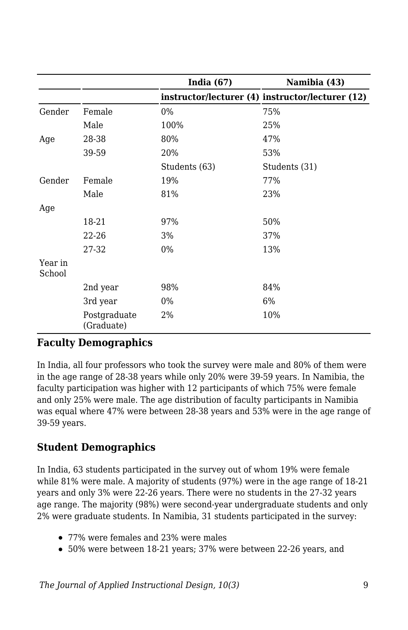|                   |                            | India $(67)$  | Namibia (43)                                     |
|-------------------|----------------------------|---------------|--------------------------------------------------|
|                   |                            |               | instructor/lecturer (4) instructor/lecturer (12) |
| Gender            | Female                     | 0%            | 75%                                              |
|                   | Male                       | 100%          | 25%                                              |
| Age               | 28-38                      | 80%           | 47%                                              |
|                   | 39-59                      | 20%           | 53%                                              |
|                   |                            | Students (63) | Students (31)                                    |
| Gender            | Female                     | 19%           | 77%                                              |
|                   | Male                       | 81%           | 23%                                              |
| Age               |                            |               |                                                  |
|                   | 18-21                      | 97%           | 50%                                              |
|                   | 22-26                      | 3%            | 37%                                              |
|                   | 27-32                      | $0\%$         | 13%                                              |
| Year in<br>School |                            |               |                                                  |
|                   | 2nd year                   | 98%           | 84%                                              |
|                   | 3rd year                   | 0%            | 6%                                               |
|                   | Postgraduate<br>(Graduate) | 2%            | 10%                                              |

#### **Faculty Demographics**

In India, all four professors who took the survey were male and 80% of them were in the age range of 28-38 years while only 20% were 39-59 years. In Namibia, the faculty participation was higher with 12 participants of which 75% were female and only 25% were male. The age distribution of faculty participants in Namibia was equal where 47% were between 28-38 years and 53% were in the age range of 39-59 years.

#### **Student Demographics**

In India, 63 students participated in the survey out of whom 19% were female while 81% were male. A majority of students (97%) were in the age range of 18-21 years and only 3% were 22-26 years. There were no students in the 27-32 years age range. The majority (98%) were second-year undergraduate students and only 2% were graduate students. In Namibia, 31 students participated in the survey:

- 77% were females and 23% were males
- 50% were between 18-21 years; 37% were between 22-26 years, and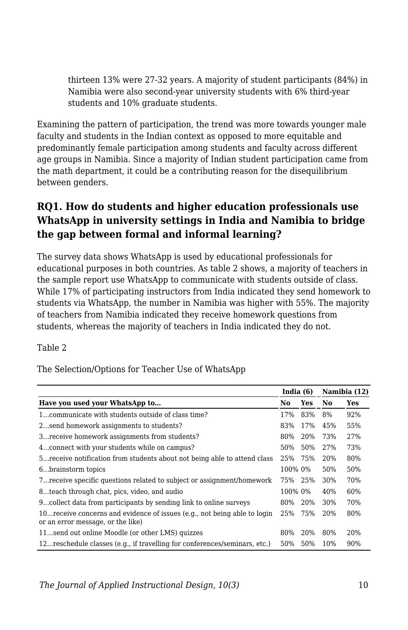thirteen 13% were 27-32 years. A majority of student participants (84%) in Namibia were also second-year university students with 6% third-year students and 10% graduate students.

Examining the pattern of participation, the trend was more towards younger male faculty and students in the Indian context as opposed to more equitable and predominantly female participation among students and faculty across different age groups in Namibia. Since a majority of Indian student participation came from the math department, it could be a contributing reason for the disequilibrium between genders.

### **RQ1. How do students and higher education professionals use WhatsApp in university settings in India and Namibia to bridge the gap between formal and informal learning?**

The survey data shows WhatsApp is used by educational professionals for educational purposes in both countries. As table 2 shows, a majority of teachers in the sample report use WhatsApp to communicate with students outside of class. While 17% of participating instructors from India indicated they send homework to students via WhatsApp, the number in Namibia was higher with 55%. The majority of teachers from Namibia indicated they receive homework questions from students, whereas the majority of teachers in India indicated they do not.

Table 2

The Selection/Options for Teacher Use of WhatsApp

|                                                                                                                |         | India $(6)$ |                | Namibia (12) |  |
|----------------------------------------------------------------------------------------------------------------|---------|-------------|----------------|--------------|--|
| Have you used your WhatsApp to                                                                                 |         |             | N <sub>0</sub> | Yes          |  |
| 1communicate with students outside of class time?                                                              | 17%     | 83%         | 8%             | 92%          |  |
| 2send homework assignments to students?                                                                        | 83%     | 17%         | 45%            | 55%          |  |
| 3 receive homework assignments from students?                                                                  | 80%     | 20%         | 73%            | 27%          |  |
| 4 connect with your students while on campus?                                                                  | 50%     | 50%         | 27%            | 73%          |  |
| 5 receive notification from students about not being able to attend class                                      | 25%     | 75%         | 20%            | 80%          |  |
| 6brainstorm topics                                                                                             | 100% 0% |             | 50%            | 50%          |  |
| 7 receive specific questions related to subject or assignment/homework                                         | 75% 25% |             | 30%            | 70%          |  |
| 8teach through chat, pics, video, and audio                                                                    | 100% 0% |             | 40%            | 60%          |  |
| 9collect data from participants by sending link to online surveys                                              | 80%     | 20%         | 30%            | 70%          |  |
| 10 receive concerns and evidence of issues (e.g., not being able to login<br>or an error message, or the like) | 25%     | 75%         | 20%            | 80%          |  |
| 11send out online Moodle (or other LMS) quizzes                                                                | 80%     | 20%         | 80%            | 20%          |  |
| 12reschedule classes (e.g., if travelling for conferences/seminars, etc.)                                      | 50%     | 50%         | 10%            | 90%          |  |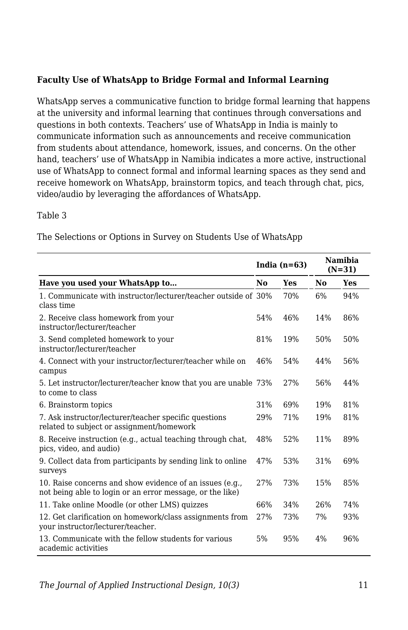#### **Faculty Use of WhatsApp to Bridge Formal and Informal Learning**

WhatsApp serves a communicative function to bridge formal learning that happens at the university and informal learning that continues through conversations and questions in both contexts. Teachers' use of WhatsApp in India is mainly to communicate information such as announcements and receive communication from students about attendance, homework, issues, and concerns. On the other hand, teachers' use of WhatsApp in Namibia indicates a more active, instructional use of WhatsApp to connect formal and informal learning spaces as they send and receive homework on WhatsApp, brainstorm topics, and teach through chat, pics, video/audio by leveraging the affordances of WhatsApp.

#### Table 3

The Selections or Options in Survey on Students Use of WhatsApp

|                                                                                                                       |     | India $(n=63)$ |     | <b>Namibia</b><br>$(N=31)$ |
|-----------------------------------------------------------------------------------------------------------------------|-----|----------------|-----|----------------------------|
| Have you used your WhatsApp to                                                                                        | No  | Yes            | No  | Yes                        |
| 1. Communicate with instructor/lecturer/teacher outside of 30%<br>class time                                          |     | 70%            | 6%  | 94%                        |
| 2. Receive class homework from your<br>instructor/lecturer/teacher                                                    | 54% | 46%            | 14% | 86%                        |
| 3. Send completed homework to your<br>instructor/lecturer/teacher                                                     | 81% | 19%            | 50% | 50%                        |
| 4. Connect with your instructor/lecturer/teacher while on<br>campus                                                   | 46% | 54%            | 44% | 56%                        |
| 5. Let instructor/lecturer/teacher know that you are unable 73%<br>to come to class                                   |     | 27%            | 56% | 44%                        |
| 6. Brainstorm topics                                                                                                  | 31% | 69%            | 19% | 81%                        |
| 7. Ask instructor/lecturer/teacher specific questions<br>related to subject or assignment/homework                    | 29% | 71%            | 19% | 81%                        |
| 8. Receive instruction (e.g., actual teaching through chat,<br>pics, video, and audio)                                | 48% | 52%            | 11% | 89%                        |
| 9. Collect data from participants by sending link to online<br>surveys                                                | 47% | 53%            | 31% | 69%                        |
| 10. Raise concerns and show evidence of an issues (e.g.,<br>not being able to login or an error message, or the like) | 27% | 73%            | 15% | 85%                        |
| 11. Take online Moodle (or other LMS) quizzes                                                                         | 66% | 34%            | 26% | 74%                        |
| 12. Get clarification on homework/class assignments from<br>your instructor/lecturer/teacher.                         | 27% | 73%            | 7%  | 93%                        |
| 13. Communicate with the fellow students for various<br>academic activities                                           | 5%  | 95%            | 4%  | 96%                        |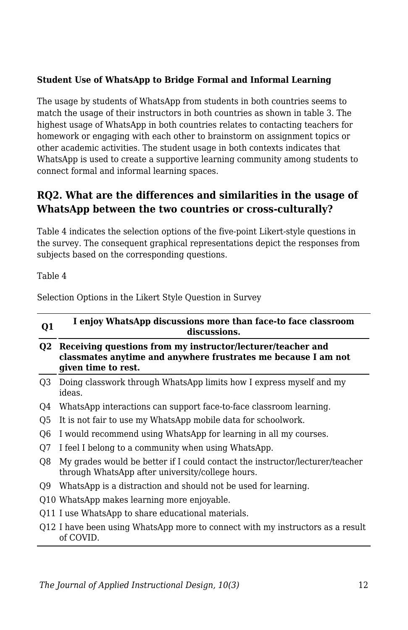#### **Student Use of WhatsApp to Bridge Formal and Informal Learning**

The usage by students of WhatsApp from students in both countries seems to match the usage of their instructors in both countries as shown in table 3. The highest usage of WhatsApp in both countries relates to contacting teachers for homework or engaging with each other to brainstorm on assignment topics or other academic activities. The student usage in both contexts indicates that WhatsApp is used to create a supportive learning community among students to connect formal and informal learning spaces.

#### **RQ2. What are the differences and similarities in the usage of WhatsApp between the two countries or cross-culturally?**

Table 4 indicates the selection options of the five-point Likert-style questions in the survey. The consequent graphical representations depict the responses from subjects based on the corresponding questions.

Table 4

Selection Options in the Likert Style Question in Survey

| Q1             | I enjoy WhatsApp discussions more than face-to face classroom<br>discussions.                                                                        |
|----------------|------------------------------------------------------------------------------------------------------------------------------------------------------|
| O2             | Receiving questions from my instructor/lecturer/teacher and<br>classmates anytime and anywhere frustrates me because I am not<br>given time to rest. |
| O3             | Doing classwork through WhatsApp limits how I express myself and my<br>ideas.                                                                        |
| O4             | WhatsApp interactions can support face-to-face classroom learning.                                                                                   |
| O <sub>5</sub> | It is not fair to use my WhatsApp mobile data for schoolwork.                                                                                        |
| O <sub>6</sub> | I would recommend using WhatsApp for learning in all my courses.                                                                                     |
| O7             | I feel I belong to a community when using WhatsApp.                                                                                                  |
| O8             | My grades would be better if I could contact the instructor/lecturer/teacher<br>through WhatsApp after university/college hours.                     |
| O9             | WhatsApp is a distraction and should not be used for learning.                                                                                       |
|                | Q10 WhatsApp makes learning more enjoyable.                                                                                                          |
|                | Q11 I use WhatsApp to share educational materials.                                                                                                   |
|                | Q12 I have been using WhatsApp more to connect with my instructors as a result<br>of COVID.                                                          |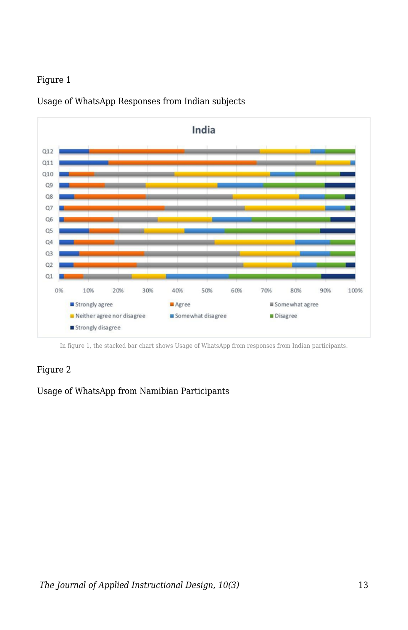#### Figure 1



Usage of WhatsApp Responses from Indian subjects

In figure 1, the stacked bar chart shows Usage of WhatsApp from responses from Indian participants.

#### Figure 2

Usage of WhatsApp from Namibian Participants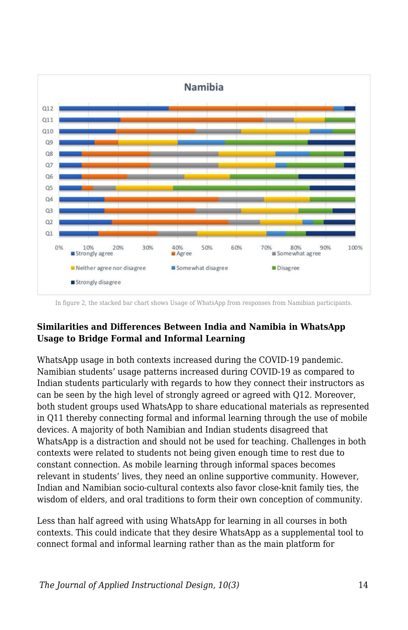

In figure 2, the stacked bar chart shows Usage of WhatsApp from responses from Namibian participants.

#### **Similarities and Differences Between India and Namibia in WhatsApp Usage to Bridge Formal and Informal Learning**

WhatsApp usage in both contexts increased during the COVID-19 pandemic. Namibian students' usage patterns increased during COVID-19 as compared to Indian students particularly with regards to how they connect their instructors as can be seen by the high level of strongly agreed or agreed with Q12. Moreover, both student groups used WhatsApp to share educational materials as represented in Q11 thereby connecting formal and informal learning through the use of mobile devices. A majority of both Namibian and Indian students disagreed that WhatsApp is a distraction and should not be used for teaching. Challenges in both contexts were related to students not being given enough time to rest due to constant connection. As mobile learning through informal spaces becomes relevant in students' lives, they need an online supportive community. However, Indian and Namibian socio-cultural contexts also favor close-knit family ties, the wisdom of elders, and oral traditions to form their own conception of community.

Less than half agreed with using WhatsApp for learning in all courses in both contexts. This could indicate that they desire WhatsApp as a supplemental tool to connect formal and informal learning rather than as the main platform for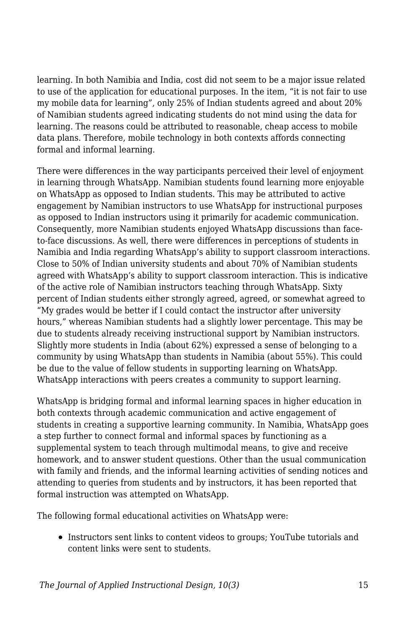learning. In both Namibia and India, cost did not seem to be a major issue related to use of the application for educational purposes. In the item, "it is not fair to use my mobile data for learning", only 25% of Indian students agreed and about 20% of Namibian students agreed indicating students do not mind using the data for learning. The reasons could be attributed to reasonable, cheap access to mobile data plans. Therefore, mobile technology in both contexts affords connecting formal and informal learning.

There were differences in the way participants perceived their level of enjoyment in learning through WhatsApp. Namibian students found learning more enjoyable on WhatsApp as opposed to Indian students. This may be attributed to active engagement by Namibian instructors to use WhatsApp for instructional purposes as opposed to Indian instructors using it primarily for academic communication. Consequently, more Namibian students enjoyed WhatsApp discussions than faceto-face discussions. As well, there were differences in perceptions of students in Namibia and India regarding WhatsApp's ability to support classroom interactions. Close to 50% of Indian university students and about 70% of Namibian students agreed with WhatsApp's ability to support classroom interaction. This is indicative of the active role of Namibian instructors teaching through WhatsApp. Sixty percent of Indian students either strongly agreed, agreed, or somewhat agreed to "My grades would be better if I could contact the instructor after university hours," whereas Namibian students had a slightly lower percentage. This may be due to students already receiving instructional support by Namibian instructors. Slightly more students in India (about 62%) expressed a sense of belonging to a community by using WhatsApp than students in Namibia (about 55%). This could be due to the value of fellow students in supporting learning on WhatsApp. WhatsApp interactions with peers creates a community to support learning.

WhatsApp is bridging formal and informal learning spaces in higher education in both contexts through academic communication and active engagement of students in creating a supportive learning community. In Namibia, WhatsApp goes a step further to connect formal and informal spaces by functioning as a supplemental system to teach through multimodal means, to give and receive homework, and to answer student questions. Other than the usual communication with family and friends, and the informal learning activities of sending notices and attending to queries from students and by instructors, it has been reported that formal instruction was attempted on WhatsApp.

The following formal educational activities on WhatsApp were:

Instructors sent links to content videos to groups; YouTube tutorials and content links were sent to students.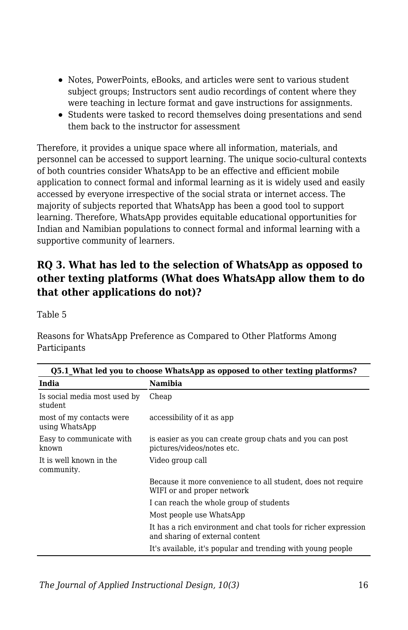- Notes, PowerPoints, eBooks, and articles were sent to various student subject groups; Instructors sent audio recordings of content where they were teaching in lecture format and gave instructions for assignments.
- Students were tasked to record themselves doing presentations and send them back to the instructor for assessment

Therefore, it provides a unique space where all information, materials, and personnel can be accessed to support learning. The unique socio-cultural contexts of both countries consider WhatsApp to be an effective and efficient mobile application to connect formal and informal learning as it is widely used and easily accessed by everyone irrespective of the social strata or internet access. The majority of subjects reported that WhatsApp has been a good tool to support learning. Therefore, WhatsApp provides equitable educational opportunities for Indian and Namibian populations to connect formal and informal learning with a supportive community of learners.

### **RQ 3. What has led to the selection of WhatsApp as opposed to other texting platforms (What does WhatsApp allow them to do that other applications do not)?**

Table 5

Reasons for WhatsApp Preference as Compared to Other Platforms Among Participants

| Q5.1 What led you to choose WhatsApp as opposed to other texting platforms? |                                                                                                   |  |  |
|-----------------------------------------------------------------------------|---------------------------------------------------------------------------------------------------|--|--|
| India                                                                       | Namibia                                                                                           |  |  |
| Is social media most used by<br>student                                     | Cheap                                                                                             |  |  |
| most of my contacts were<br>using WhatsApp                                  | accessibility of it as app                                                                        |  |  |
| Easy to communicate with<br>known                                           | is easier as you can create group chats and you can post<br>pictures/videos/notes etc.            |  |  |
| It is well known in the<br>community.                                       | Video group call                                                                                  |  |  |
|                                                                             | Because it more convenience to all student, does not require<br>WIFI or and proper network        |  |  |
|                                                                             | I can reach the whole group of students                                                           |  |  |
|                                                                             | Most people use WhatsApp                                                                          |  |  |
|                                                                             | It has a rich environment and chat tools for richer expression<br>and sharing of external content |  |  |
|                                                                             | It's available, it's popular and trending with young people                                       |  |  |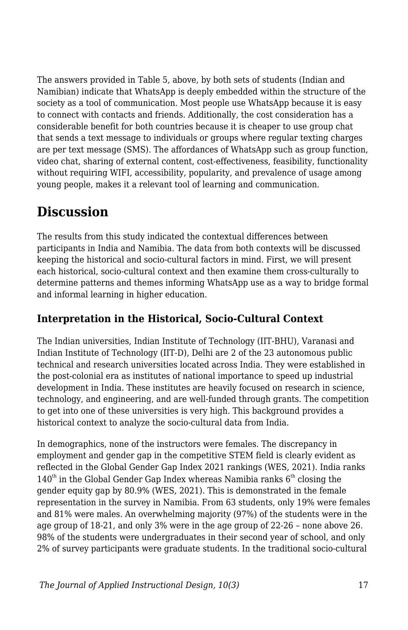The answers provided in Table 5, above, by both sets of students (Indian and Namibian) indicate that WhatsApp is deeply embedded within the structure of the society as a tool of communication. Most people use WhatsApp because it is easy to connect with contacts and friends. Additionally, the cost consideration has a considerable benefit for both countries because it is cheaper to use group chat that sends a text message to individuals or groups where regular texting charges are per text message (SMS). The affordances of WhatsApp such as group function, video chat, sharing of external content, cost-effectiveness, feasibility, functionality without requiring WIFI, accessibility, popularity, and prevalence of usage among young people, makes it a relevant tool of learning and communication.

## **Discussion**

The results from this study indicated the contextual differences between participants in India and Namibia. The data from both contexts will be discussed keeping the historical and socio-cultural factors in mind. First, we will present each historical, socio-cultural context and then examine them cross-culturally to determine patterns and themes informing WhatsApp use as a way to bridge formal and informal learning in higher education.

### **Interpretation in the Historical, Socio-Cultural Context**

The Indian universities, Indian Institute of Technology (IIT-BHU), Varanasi and Indian Institute of Technology (IIT-D), Delhi are 2 of the 23 autonomous public technical and research universities located across India. They were established in the post-colonial era as institutes of national importance to speed up industrial development in India. These institutes are heavily focused on research in science, technology, and engineering, and are well-funded through grants. The competition to get into one of these universities is very high. This background provides a historical context to analyze the socio-cultural data from India.

In demographics, none of the instructors were females. The discrepancy in employment and gender gap in the competitive STEM field is clearly evident as reflected in the Global Gender Gap Index 2021 rankings (WES, 2021). India ranks  $140<sup>th</sup>$  in the Global Gender Gap Index whereas Namibia ranks  $6<sup>th</sup>$  closing the gender equity gap by 80.9% (WES, 2021). This is demonstrated in the female representation in the survey in Namibia. From 63 students, only 19% were females and 81% were males. An overwhelming majority (97%) of the students were in the age group of 18-21, and only 3% were in the age group of 22-26 – none above 26. 98% of the students were undergraduates in their second year of school, and only 2% of survey participants were graduate students. In the traditional socio-cultural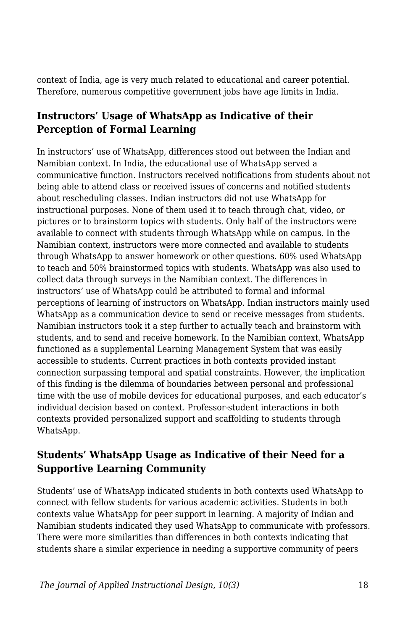context of India, age is very much related to educational and career potential. Therefore, numerous competitive government jobs have age limits in India.

#### **Instructors' Usage of WhatsApp as Indicative of their Perception of Formal Learning**

In instructors' use of WhatsApp, differences stood out between the Indian and Namibian context. In India, the educational use of WhatsApp served a communicative function. Instructors received notifications from students about not being able to attend class or received issues of concerns and notified students about rescheduling classes. Indian instructors did not use WhatsApp for instructional purposes. None of them used it to teach through chat, video, or pictures or to brainstorm topics with students. Only half of the instructors were available to connect with students through WhatsApp while on campus. In the Namibian context, instructors were more connected and available to students through WhatsApp to answer homework or other questions. 60% used WhatsApp to teach and 50% brainstormed topics with students. WhatsApp was also used to collect data through surveys in the Namibian context. The differences in instructors' use of WhatsApp could be attributed to formal and informal perceptions of learning of instructors on WhatsApp. Indian instructors mainly used WhatsApp as a communication device to send or receive messages from students. Namibian instructors took it a step further to actually teach and brainstorm with students, and to send and receive homework. In the Namibian context, WhatsApp functioned as a supplemental Learning Management System that was easily accessible to students. Current practices in both contexts provided instant connection surpassing temporal and spatial constraints. However, the implication of this finding is the dilemma of boundaries between personal and professional time with the use of mobile devices for educational purposes, and each educator's individual decision based on context. Professor-student interactions in both contexts provided personalized support and scaffolding to students through WhatsApp.

#### **Students' WhatsApp Usage as Indicative of their Need for a Supportive Learning Community**

Students' use of WhatsApp indicated students in both contexts used WhatsApp to connect with fellow students for various academic activities. Students in both contexts value WhatsApp for peer support in learning. A majority of Indian and Namibian students indicated they used WhatsApp to communicate with professors. There were more similarities than differences in both contexts indicating that students share a similar experience in needing a supportive community of peers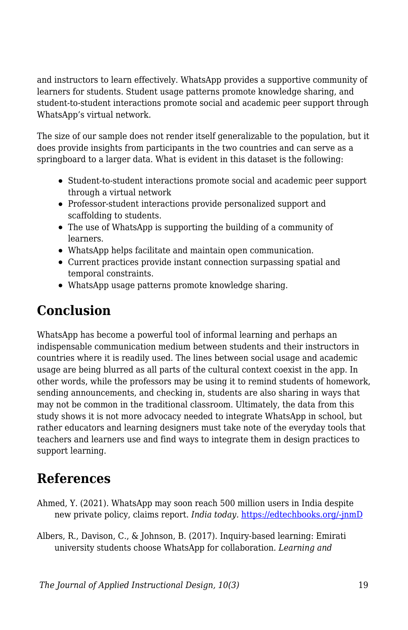and instructors to learn effectively. WhatsApp provides a supportive community of learners for students. Student usage patterns promote knowledge sharing, and student-to-student interactions promote social and academic peer support through WhatsApp's virtual network.

The size of our sample does not render itself generalizable to the population, but it does provide insights from participants in the two countries and can serve as a springboard to a larger data. What is evident in this dataset is the following:

- Student-to-student interactions promote social and academic peer support through a virtual network
- Professor-student interactions provide personalized support and scaffolding to students.
- The use of WhatsApp is supporting the building of a community of learners.
- WhatsApp helps facilitate and maintain open communication.
- Current practices provide instant connection surpassing spatial and temporal constraints.
- WhatsApp usage patterns promote knowledge sharing.

## **Conclusion**

WhatsApp has become a powerful tool of informal learning and perhaps an indispensable communication medium between students and their instructors in countries where it is readily used. The lines between social usage and academic usage are being blurred as all parts of the cultural context coexist in the app. In other words, while the professors may be using it to remind students of homework, sending announcements, and checking in, students are also sharing in ways that may not be common in the traditional classroom. Ultimately, the data from this study shows it is not more advocacy needed to integrate WhatsApp in school, but rather educators and learning designers must take note of the everyday tools that teachers and learners use and find ways to integrate them in design practices to support learning.

## **References**

- Ahmed, Y. (2021). WhatsApp may soon reach 500 million users in India despite new private policy, claims report. *India today.* [https://edtechbooks.org/-jnmD](https://www.indiatoday.in/technology/news/story/whatsapp-may-soon-touch-500-million-users-in-india-despite-new-privacy-policy-claims-report-1758344-2021-01-12)
- Albers, R., Davison, C., & Johnson, B. (2017). Inquiry-based learning: Emirati university students choose WhatsApp for collaboration. *Learning and*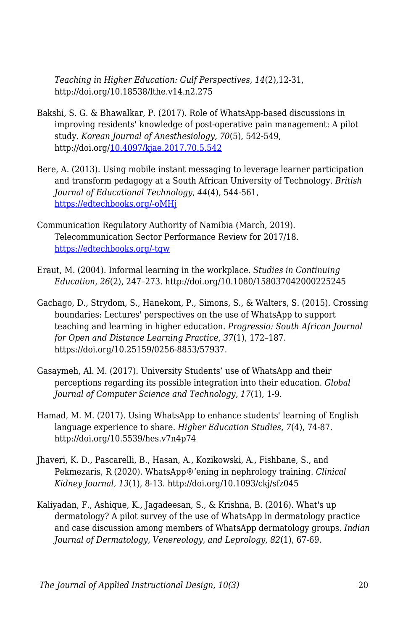*Teaching in Higher Education: Gulf Perspectives*, *14*(2),12-31, http://doi.org/10.18538/lthe.v14.n2.275

- Bakshi, S. G. & Bhawalkar, P. (2017). Role of WhatsApp-based discussions in improving residents' knowledge of post-operative pain management: A pilot study. *Korean Journal of Anesthesiology, 70*(5), 542-549, http://doi.org/[10.4097/kjae.2017.70.5.542](https://dx.doi.org/10.4097%2Fkjae.2017.70.5.542)
- Bere, A. (2013). Using mobile instant messaging to leverage learner participation and transform pedagogy at a South African University of Technology. *British Journal of Educational Technology*, *44*(4), 544-561, [https://edtechbooks.org/-oMHj](https://doi.org/10.1111/bjet.12057)
- Communication Regulatory Authority of Namibia (March, 2019). Telecommunication Sector Performance Review for 2017/18. [https://edtechbooks.org/-tqw](https://www.cran.na/wp-content/uploads/2019/12/CRAN_Telecom_SPR_2018.pdf)
- Eraut, M. (2004). Informal learning in the workplace. *Studies in Continuing Education, 26*(2), 247–273. http://doi.org/10.1080/158037042000225245
- Gachago, D., Strydom, S., Hanekom, P., Simons, S., & Walters, S. (2015). Crossing boundaries: Lectures' perspectives on the use of WhatsApp to support teaching and learning in higher education. *Progressio: South African Journal for Open and Distance Learning Practice, 37*(1), 172–187. https://doi.org/10.25159/0256-8853/57937.
- Gasaymeh, Al. M. (2017). University Students' use of WhatsApp and their perceptions regarding its possible integration into their education. *Global Journal of Computer Science and Technology, 17*(1), 1-9.
- Hamad, M. M. (2017). Using WhatsApp to enhance students' learning of English language experience to share. *Higher Education Studies, 7*(4), 74-87. http://doi.org/10.5539/hes.v7n4p74
- Jhaveri, K. D., Pascarelli, B., Hasan, A., Kozikowski, A., Fishbane, S., and Pekmezaris, R (2020). WhatsApp®'ening in nephrology training. *Clinical Kidney Journal, 13*(1), 8-13. http://doi.org/10.1093/ckj/sfz045
- Kaliyadan, F., Ashique, K., Jagadeesan, S., & Krishna, B. (2016). What's up dermatology? A pilot survey of the use of WhatsApp in dermatology practice and case discussion among members of WhatsApp dermatology groups. *Indian Journal of Dermatology, Venereology, and Leprology, 82*(1), 67-69.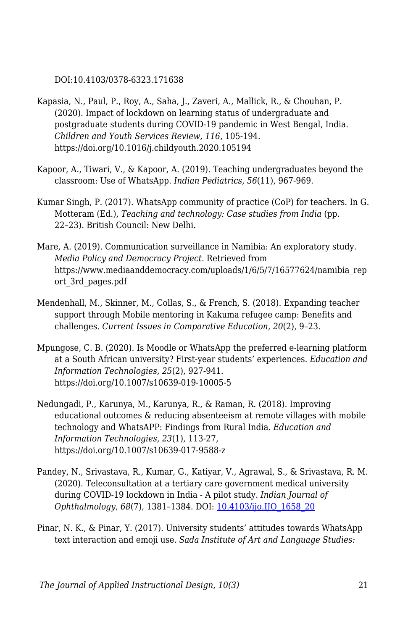DOI:10.4103/0378-6323.171638

- Kapasia, N., Paul, P., Roy, A., Saha, J., Zaveri, A., Mallick, R., & Chouhan, P. (2020). Impact of lockdown on learning status of undergraduate and postgraduate students during COVID-19 pandemic in West Bengal, India. *Children and Youth Services Review, 116*, 105-194. https://doi.org/10.1016/j.childyouth.2020.105194
- Kapoor, A., Tiwari, V., & Kapoor, A. (2019). Teaching undergraduates beyond the classroom: Use of WhatsApp. *Indian Pediatrics, 56*(11), 967-969.
- Kumar Singh, P. (2017). WhatsApp community of practice (CoP) for teachers. In G. Motteram (Ed.), *Teaching and technology: Case studies from India* (pp. 22–23). British Council: New Delhi.
- Mare, A. (2019). Communication surveillance in Namibia: An exploratory study. *Media Policy and Democracy Project*. Retrieved from https://www.mediaanddemocracy.com/uploads/1/6/5/7/16577624/namibia\_rep ort\_3rd\_pages.pdf
- Mendenhall, M., Skinner, M., Collas, S., & French, S. (2018). Expanding teacher support through Mobile mentoring in Kakuma refugee camp: Benefits and challenges. *Current Issues in Comparative Education, 20*(2), 9–23.
- Mpungose, C. B. (2020). Is Moodle or WhatsApp the preferred e-learning platform at a South African university? First-year students' experiences. *Education and Information Technologies, 25*(2), 927-941. https://doi.org/10.1007/s10639-019-10005-5
- Nedungadi, P., Karunya, M., Karunya, R., & Raman, R. (2018). Improving educational outcomes & reducing absenteeism at remote villages with mobile technology and WhatsAPP: Findings from Rural India. *Education and Information Technologies, 23*(1), 113-27, https://doi.org/10.1007/s10639-017-9588-z
- Pandey, N., Srivastava, R., Kumar, G., Katiyar, V., Agrawal, S., & Srivastava, R. M. (2020). Teleconsultation at a tertiary care government medical university during COVID-19 lockdown in India - A pilot study. *Indian Journal of Ophthalmology*, *68*(7), 1381–1384. DOI: [10.4103/ijo.IJO\\_1658\\_20](https://doi.org/10.4103/ijo.ijo_1658_20)
- Pinar, N. K., & Pinar, Y. (2017). University students' attitudes towards WhatsApp text interaction and emoji use. *Sada Institute of Art and Language Studies:*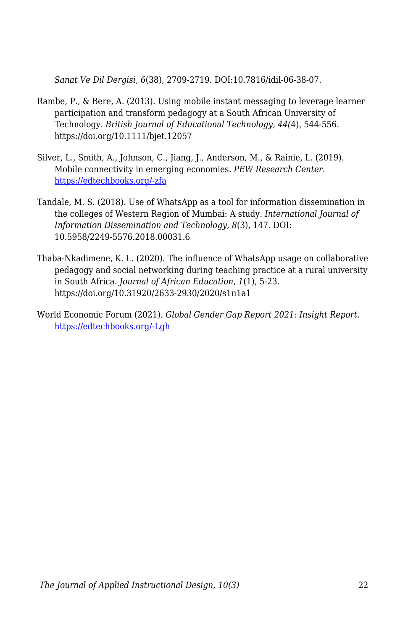*Sanat Ve Dil Dergisi, 6*(38), 2709-2719. DOI:10.7816/idil-06-38-07.

- Rambe, P., & Bere, A. (2013). Using mobile instant messaging to leverage learner participation and transform pedagogy at a South African University of Technology. *British Journal of Educational Technology, 44(*4), 544-556. https://doi.org/10.1111/bjet.12057
- Silver, L., Smith, A., Johnson, C., Jiang, J., Anderson, M., & Rainie, L. (2019). Mobile connectivity in emerging economies. *PEW Research Center.* [https://edtechbooks.org/-zfa](https://www.pewresearch.org/internet/2019/03/07/use-of-smartphones-and-social-media-is-common-across-most-emerging-economies/#table)
- Tandale, M. S. (2018). Use of WhatsApp as a tool for information dissemination in the colleges of Western Region of Mumbai: A study. *International Journal of Information Dissemination and Technology, 8*(3), 147. DOI: 10.5958/2249-5576.2018.00031.6
- Thaba-Nkadimene, K. L. (2020). The influence of WhatsApp usage on collaborative pedagogy and social networking during teaching practice at a rural university in South Africa. *Journal of African Education*, *1*(1), 5-23. https://doi.org/10.31920/2633-2930/2020/s1n1a1
- World Economic Forum (2021). *Global Gender Gap Report 2021: Insight Report.* [https://edtechbooks.org/-Lgh](http://www3.weforum.org/docs/WEF_GGGR_2021.pdf)